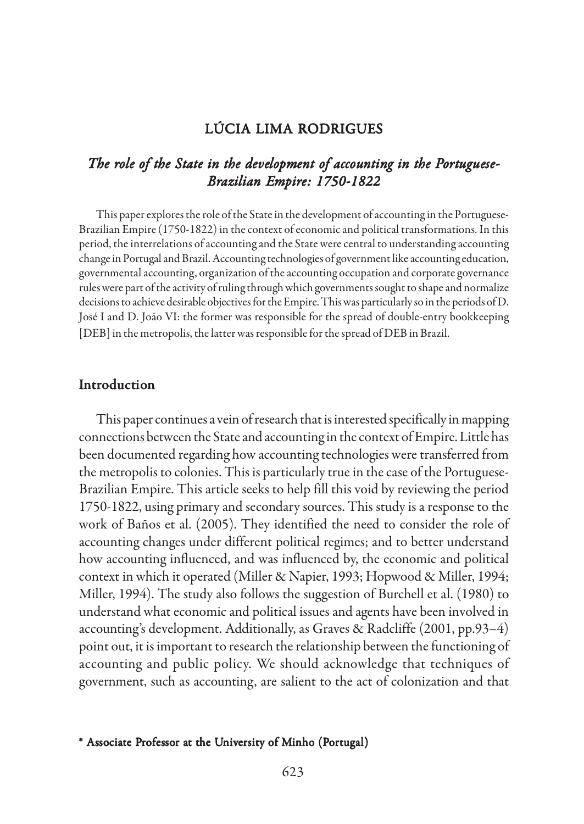### LÚCIA LIMA RODRIGUES

## The role of the State in the development of accounting in the Portuguese-*Brazilian Empire: 1750-1822*

This paper explores the role of the State in the development of accounting in the Portuguese-Brazilian Empire (1750-1822) in the context of economic and political transformations. In this period, the interrelations of accounting and the State were central to understanding accounting change in Portugal and Brazil. Accounting technologies of government like accounting education, governmental accounting, organization of the accounting occupation and corporate governance rules were part of the activity of ruling through which governments sought to shape and normalize decisions to achieve desirable objectives for the Empire. This was particularly so in the periods of D. José I and D. João VI: the former was responsible for the spread of double-entry bookkeeping [DEB] in the metropolis, the latter was responsible for the spread of DEB in Brazil.

#### Introduction

This paper continues a vein of research that is interested specifically in mapping connections between the State and accounting in the context of Empire. Little has been documented regarding how accounting technologies were transferred from the metropolis to colonies. This is particularly true in the case of the Portuguese-Brazilian Empire. This article seeks to help fill this void by reviewing the period 1750-1822, using primary and secondary sources. This study is a response to the work of Baños et al. (2005). They identified the need to consider the role of accounting changes under different political regimes; and to better understand how accounting influenced, and was influenced by, the economic and political context in which it operated (Miller & Napier, 1993; Hopwood & Miller, 1994; Miller, 1994). The study also follows the suggestion of Burchell et al. (1980) to understand what economic and political issues and agents have been involved in accounting's development. Additionally, as Graves & Radcliffe (2001, pp.93–4) point out, it is important to research the relationship between the functioning of accounting and public policy. We should acknowledge that techniques of government, such as accounting, are salient to the act of colonization and that

#### \* Associate Professor at the University of Minho (Portugal)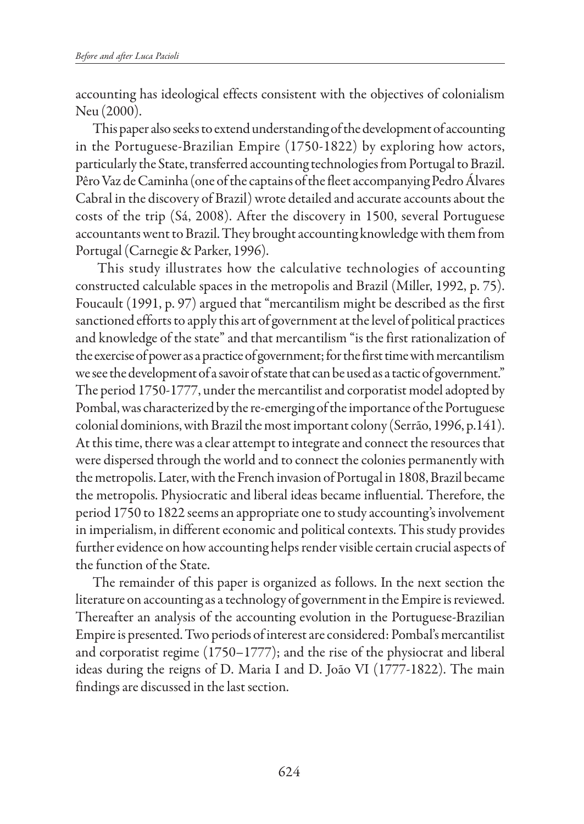accounting has ideological effects consistent with the objectives of colonialism Neu (2000).

This paper also seeks to extend understanding of the development of accounting in the Portuguese-Brazilian Empire (1750-1822) by exploring how actors, particularly the State, transferred accounting technologies from Portugal to Brazil. Pêro Vaz de Caminha (one of the captains of the fleet accompanying Pedro Álvares Cabral in the discovery of Brazil) wrote detailed and accurate accounts about the costs of the trip (Sá, 2008). After the discovery in 1500, several Portuguese accountants went to Brazil. They brought accounting knowledge with them from Portugal (Carnegie & Parker, 1996).

 This study illustrates how the calculative technologies of accounting constructed calculable spaces in the metropolis and Brazil (Miller, 1992, p. 75). Foucault (1991, p. 97) argued that "mercantilism might be described as the first sanctioned efforts to apply this art of government at the level of political practices and knowledge of the state" and that mercantilism "is the first rationalization of the exercise of power as a practice of government; for the first time with mercantilism we see the development of a savoir of state that can be used as a tactic of government." The period 1750-1777, under the mercantilist and corporatist model adopted by Pombal, was characterized by the re-emerging of the importance of the Portuguese colonial dominions, with Brazil the most important colony (Serrão, 1996, p.141). At this time, there was a clear attempt to integrate and connect the resources that were dispersed through the world and to connect the colonies permanently with the metropolis. Later, with the French invasion of Portugal in 1808, Brazil became the metropolis. Physiocratic and liberal ideas became influential. Therefore, the period 1750 to 1822 seems an appropriate one to study accounting's involvement in imperialism, in different economic and political contexts. This study provides further evidence on how accounting helps render visible certain crucial aspects of the function of the State.

The remainder of this paper is organized as follows. In the next section the literature on accounting as a technology of government in the Empire is reviewed. Thereafter an analysis of the accounting evolution in the Portuguese-Brazilian Empire is presented. Two periods of interest are considered: Pombal's mercantilist and corporatist regime (1750–1777); and the rise of the physiocrat and liberal ideas during the reigns of D. Maria I and D. João VI (1777-1822). The main findings are discussed in the last section.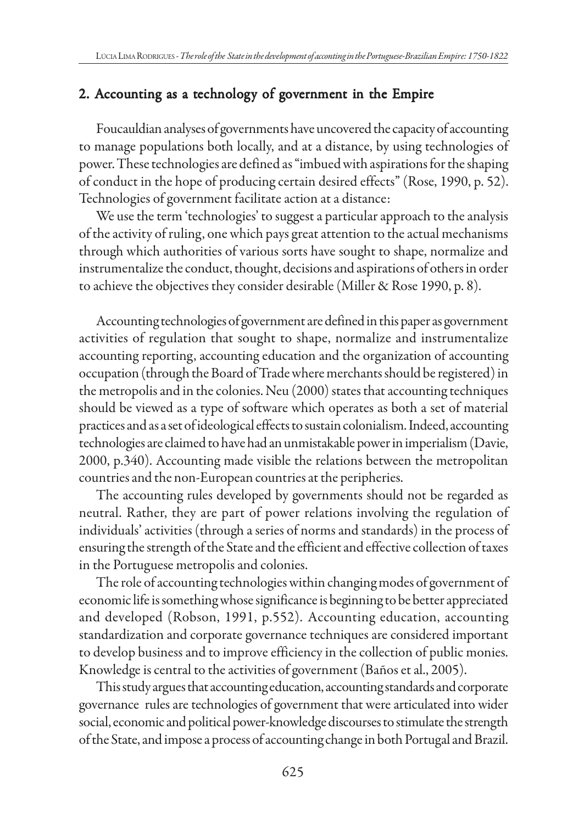# 2. Accounting as a technology of government in the Empire

Foucauldian analyses of governments have uncovered the capacity of accounting to manage populations both locally, and at a distance, by using technologies of power. These technologies are defined as "imbued with aspirations for the shaping of conduct in the hope of producing certain desired effects" (Rose, 1990, p. 52). Technologies of government facilitate action at a distance:

We use the term 'technologies' to suggest a particular approach to the analysis of the activity of ruling, one which pays great attention to the actual mechanisms through which authorities of various sorts have sought to shape, normalize and instrumentalize the conduct, thought, decisions and aspirations of others in order to achieve the objectives they consider desirable (Miller & Rose 1990, p. 8).

Accounting technologies of government are defined in this paper as government activities of regulation that sought to shape, normalize and instrumentalize accounting reporting, accounting education and the organization of accounting occupation (through the Board of Trade where merchants should be registered) in the metropolis and in the colonies. Neu (2000) states that accounting techniques should be viewed as a type of software which operates as both a set of material practices and as a set of ideological effects to sustain colonialism. Indeed, accounting technologies are claimed to have had an unmistakable power in imperialism (Davie, 2000, p.340). Accounting made visible the relations between the metropolitan countries and the non-European countries at the peripheries.

The accounting rules developed by governments should not be regarded as neutral. Rather, they are part of power relations involving the regulation of individuals' activities (through a series of norms and standards) in the process of ensuring the strength of the State and the efficient and effective collection of taxes in the Portuguese metropolis and colonies.

The role of accounting technologies within changing modes of government of economic life is something whose significance is beginning to be better appreciated and developed (Robson, 1991, p.552). Accounting education, accounting standardization and corporate governance techniques are considered important to develop business and to improve efficiency in the collection of public monies. Knowledge is central to the activities of government (Baños et al., 2005).

This study argues that accounting education, accounting standards and corporate governance rules are technologies of government that were articulated into wider social, economic and political power-knowledge discourses to stimulate the strength of the State, and impose a process of accounting change in both Portugal and Brazil.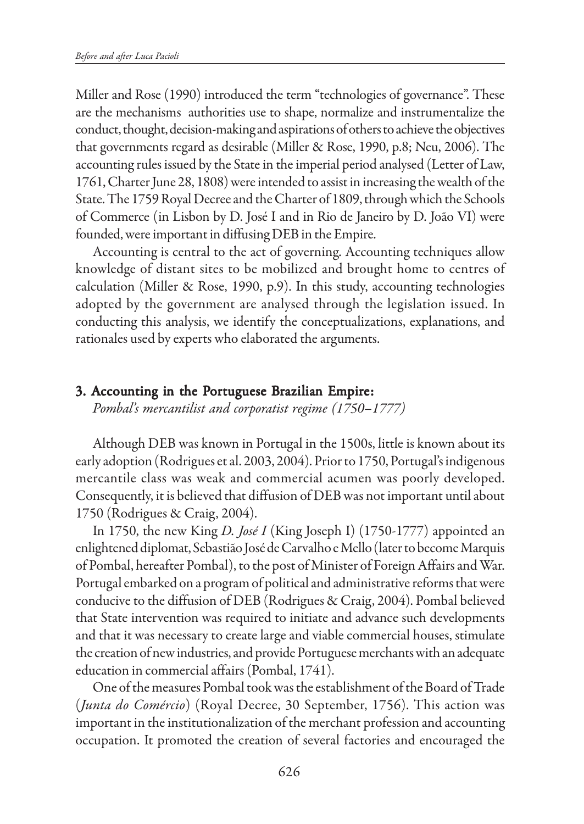Miller and Rose (1990) introduced the term "technologies of governance". These are the mechanisms authorities use to shape, normalize and instrumentalize the conduct, thought, decision-making and aspirations of others to achieve the objectives that governments regard as desirable (Miller & Rose, 1990, p.8; Neu, 2006). The accounting rules issued by the State in the imperial period analysed (Letter of Law, 1761, Charter June 28, 1808) were intended to assist in increasing the wealth of the State. The 1759 Royal Decree and the Charter of 1809, through which the Schools of Commerce (in Lisbon by D. José I and in Rio de Janeiro by D. João VI) were founded, were important in diffusing DEB in the Empire.

Accounting is central to the act of governing. Accounting techniques allow knowledge of distant sites to be mobilized and brought home to centres of calculation (Miller & Rose, 1990, p.9). In this study, accounting technologies adopted by the government are analysed through the legislation issued. In conducting this analysis, we identify the conceptualizations, explanations, and rationales used by experts who elaborated the arguments.

#### 3. Accounting in the Portuguese Brazilian Empire:

*Pombal's mercantilist and corporatist regime (1750–1777)*

Although DEB was known in Portugal in the 1500s, little is known about its early adoption (Rodrigues et al. 2003, 2004). Prior to 1750, Portugal's indigenous mercantile class was weak and commercial acumen was poorly developed. Consequently, it is believed that diffusion of DEB was not important until about 1750 (Rodrigues & Craig, 2004).

In 1750, the new King *D. José I* (King Joseph I) (1750-1777) appointed an enlightened diplomat, Sebastião José de Carvalho e Mello (later to become Marquis of Pombal, hereafter Pombal), to the post of Minister of Foreign Affairs and War. Portugal embarked on a program of political and administrative reforms that were conducive to the diffusion of DEB (Rodrigues & Craig, 2004). Pombal believed that State intervention was required to initiate and advance such developments and that it was necessary to create large and viable commercial houses, stimulate the creation of new industries, and provide Portuguese merchants with an adequate education in commercial affairs (Pombal, 1741).

One of the measures Pombal took was the establishment of the Board of Trade (*Junta do Comércio*) (Royal Decree, 30 September, 1756). This action was important in the institutionalization of the merchant profession and accounting occupation. It promoted the creation of several factories and encouraged the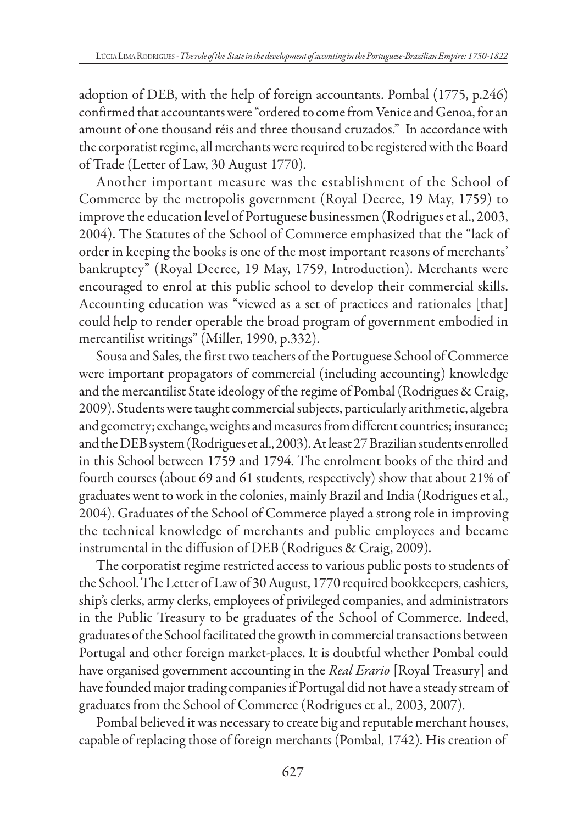adoption of DEB, with the help of foreign accountants. Pombal (1775, p.246) confirmed that accountants were "ordered to come from Venice and Genoa, for an amount of one thousand réis and three thousand cruzados." In accordance with the corporatist regime, all merchants were required to be registered with the Board of Trade (Letter of Law, 30 August 1770).

Another important measure was the establishment of the School of Commerce by the metropolis government (Royal Decree, 19 May, 1759) to improve the education level of Portuguese businessmen (Rodrigues et al., 2003, 2004). The Statutes of the School of Commerce emphasized that the "lack of order in keeping the books is one of the most important reasons of merchants' bankruptcy" (Royal Decree, 19 May, 1759, Introduction). Merchants were encouraged to enrol at this public school to develop their commercial skills. Accounting education was "viewed as a set of practices and rationales [that] could help to render operable the broad program of government embodied in mercantilist writings" (Miller, 1990, p.332).

Sousa and Sales, the first two teachers of the Portuguese School of Commerce were important propagators of commercial (including accounting) knowledge and the mercantilist State ideology of the regime of Pombal (Rodrigues & Craig, 2009). Students were taught commercial subjects, particularly arithmetic, algebra and geometry; exchange, weights and measures from different countries; insurance; and the DEB system (Rodrigues et al., 2003). At least 27 Brazilian students enrolled in this School between 1759 and 1794. The enrolment books of the third and fourth courses (about 69 and 61 students, respectively) show that about 21% of graduates went to work in the colonies, mainly Brazil and India (Rodrigues et al., 2004). Graduates of the School of Commerce played a strong role in improving the technical knowledge of merchants and public employees and became instrumental in the diffusion of DEB (Rodrigues & Craig, 2009).

The corporatist regime restricted access to various public posts to students of the School. The Letter of Law of 30 August, 1770 required bookkeepers, cashiers, ship's clerks, army clerks, employees of privileged companies, and administrators in the Public Treasury to be graduates of the School of Commerce. Indeed, graduates of the School facilitated the growth in commercial transactions between Portugal and other foreign market-places. It is doubtful whether Pombal could have organised government accounting in the *Real Erario* [Royal Treasury] and have founded major trading companies if Portugal did not have a steady stream of graduates from the School of Commerce (Rodrigues et al., 2003, 2007).

Pombal believed it was necessary to create big and reputable merchant houses, capable of replacing those of foreign merchants (Pombal, 1742). His creation of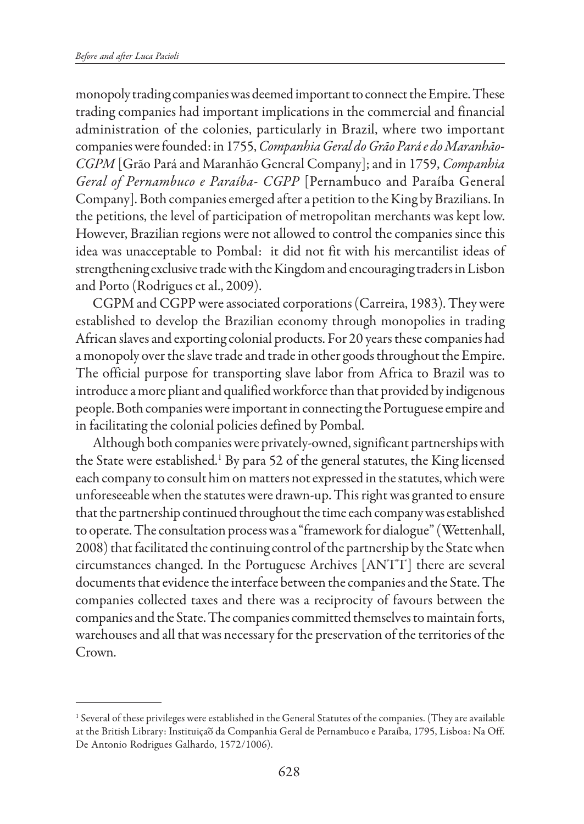monopoly trading companies was deemed important to connect the Empire. These trading companies had important implications in the commercial and financial administration of the colonies, particularly in Brazil, where two important companies were founded: in 1755, *Companhia Geral do Grão Pará e do Maranhão-CGPM* [Grão Pará and Maranhão General Company]; and in 1759, *Companhia Geral of Pernambuco e Paraíba- CGPP* [Pernambuco and Paraíba General Company]. Both companies emerged after a petition to the King by Brazilians. In the petitions, the level of participation of metropolitan merchants was kept low. However, Brazilian regions were not allowed to control the companies since this idea was unacceptable to Pombal: it did not fit with his mercantilist ideas of strengthening exclusive trade with the Kingdom and encouraging traders in Lisbon and Porto (Rodrigues et al., 2009).

CGPM and CGPP were associated corporations (Carreira, 1983). They were established to develop the Brazilian economy through monopolies in trading African slaves and exporting colonial products. For 20 years these companies had a monopoly over the slave trade and trade in other goods throughout the Empire. The official purpose for transporting slave labor from Africa to Brazil was to introduce a more pliant and qualified workforce than that provided by indigenous people. Both companies were important in connecting the Portuguese empire and in facilitating the colonial policies defined by Pombal.

Although both companies were privately-owned, significant partnerships with the State were established.<sup>1</sup> By para 52 of the general statutes, the King licensed each company to consult him on matters not expressed in the statutes, which were unforeseeable when the statutes were drawn-up. This right was granted to ensure that the partnership continued throughout the time each company was established to operate. The consultation process was a "framework for dialogue" (Wettenhall, 2008) that facilitated the continuing control of the partnership by the State when circumstances changed. In the Portuguese Archives [ANTT] there are several documents that evidence the interface between the companies and the State. The companies collected taxes and there was a reciprocity of favours between the companies and the State. The companies committed themselves to maintain forts, warehouses and all that was necessary for the preservation of the territories of the Crown.

<sup>1</sup> Several of these privileges were established in the General Statutes of the companies. (They are available at the British Library: Instituição da Companhia Geral de Pernambuco e Paraíba, 1795, Lisboa: Na Off. De Antonio Rodrigues Galhardo, 1572/1006).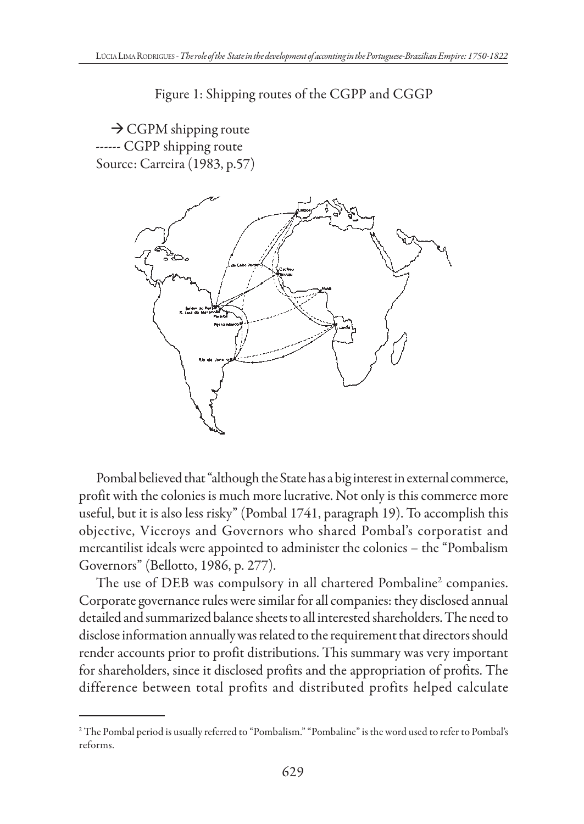Figure 1: Shipping routes of the CGPP and CGGP

→ CGPM shipping route ------ CGPP shipping route Source: Carreira (1983, p.57)



Pombal believed that "although the State has a big interest in external commerce, profit with the colonies is much more lucrative. Not only is this commerce more useful, but it is also less risky" (Pombal 1741, paragraph 19). To accomplish this objective, Viceroys and Governors who shared Pombal's corporatist and mercantilist ideals were appointed to administer the colonies – the "Pombalism Governors" (Bellotto, 1986, p. 277).

The use of DEB was compulsory in all chartered Pombaline $^2$  companies. Corporate governance rules were similar for all companies: they disclosed annual detailed and summarized balance sheets to all interested shareholders. The need to disclose information annually was related to the requirement that directors should render accounts prior to profit distributions. This summary was very important for shareholders, since it disclosed profits and the appropriation of profits. The difference between total profits and distributed profits helped calculate

<sup>2</sup> The Pombal period is usually referred to "Pombalism." "Pombaline" is the word used to refer to Pombal's reforms.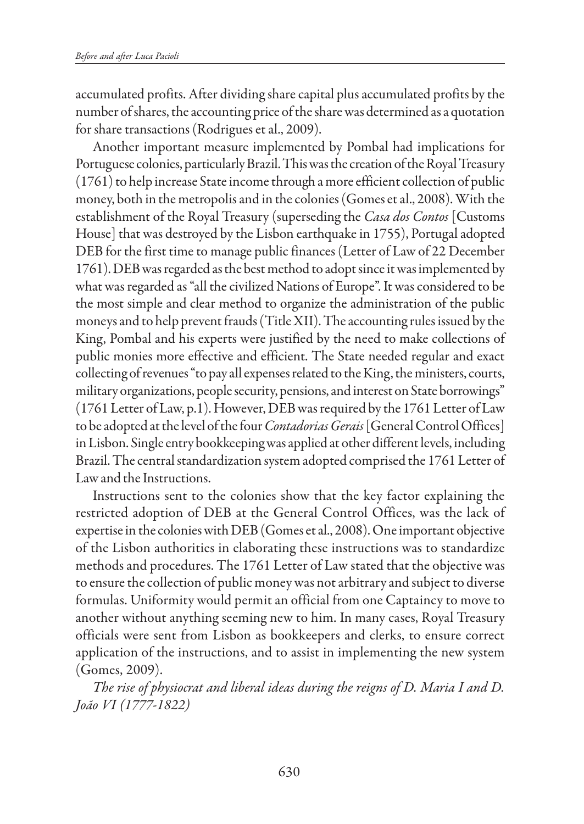accumulated profits. After dividing share capital plus accumulated profits by the number of shares, the accounting price of the share was determined as a quotation for share transactions (Rodrigues et al., 2009).

Another important measure implemented by Pombal had implications for Portuguese colonies, particularly Brazil. This was the creation of the Royal Treasury (1761) to help increase State income through a more efficient collection of public money, both in the metropolis and in the colonies (Gomes et al., 2008). With the establishment of the Royal Treasury (superseding the *Casa dos Contos* [Customs House] that was destroyed by the Lisbon earthquake in 1755), Portugal adopted DEB for the first time to manage public finances (Letter of Law of 22 December 1761). DEB was regarded as the best method to adopt since it was implemented by what was regarded as "all the civilized Nations of Europe". It was considered to be the most simple and clear method to organize the administration of the public moneys and to help prevent frauds (Title XII). The accounting rules issued by the King, Pombal and his experts were justified by the need to make collections of public monies more effective and efficient. The State needed regular and exact collecting of revenues "to pay all expenses related to the King, the ministers, courts, military organizations, people security, pensions, and interest on State borrowings" (1761 Letter of Law, p.1). However, DEB was required by the 1761 Letter of Law to be adopted at the level of the four *Contadorias Gerais* [General Control Offices] in Lisbon. Single entry bookkeeping was applied at other different levels, including Brazil. The central standardization system adopted comprised the 1761 Letter of Law and the Instructions.

Instructions sent to the colonies show that the key factor explaining the restricted adoption of DEB at the General Control Offices, was the lack of expertise in the colonies with DEB (Gomes et al., 2008). One important objective of the Lisbon authorities in elaborating these instructions was to standardize methods and procedures. The 1761 Letter of Law stated that the objective was to ensure the collection of public money was not arbitrary and subject to diverse formulas. Uniformity would permit an official from one Captaincy to move to another without anything seeming new to him. In many cases, Royal Treasury officials were sent from Lisbon as bookkeepers and clerks, to ensure correct application of the instructions, and to assist in implementing the new system (Gomes, 2009).

*The rise of physiocrat and liberal ideas during the reigns of D. Maria I and D. João VI (1777-1822)*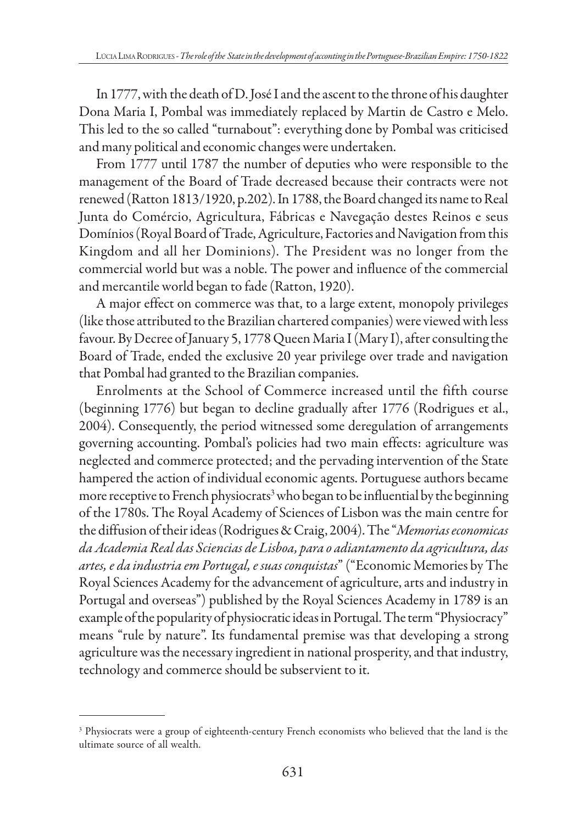In 1777, with the death of D. José I and the ascent to the throne of his daughter Dona Maria I, Pombal was immediately replaced by Martin de Castro e Melo. This led to the so called "turnabout": everything done by Pombal was criticised and many political and economic changes were undertaken.

From 1777 until 1787 the number of deputies who were responsible to the management of the Board of Trade decreased because their contracts were not renewed (Ratton 1813/1920, p.202). In 1788, the Board changed its name to Real Junta do Comércio, Agricultura, Fábricas e Navegação destes Reinos e seus Domínios (Royal Board of Trade, Agriculture, Factories and Navigation from this Kingdom and all her Dominions). The President was no longer from the commercial world but was a noble. The power and influence of the commercial and mercantile world began to fade (Ratton, 1920).

A major effect on commerce was that, to a large extent, monopoly privileges (like those attributed to the Brazilian chartered companies) were viewed with less favour. By Decree of January 5, 1778 Queen Maria I (Mary I), after consulting the Board of Trade, ended the exclusive 20 year privilege over trade and navigation that Pombal had granted to the Brazilian companies.

Enrolments at the School of Commerce increased until the fifth course (beginning 1776) but began to decline gradually after 1776 (Rodrigues et al., 2004). Consequently, the period witnessed some deregulation of arrangements governing accounting. Pombal's policies had two main effects: agriculture was neglected and commerce protected; and the pervading intervention of the State hampered the action of individual economic agents. Portuguese authors became more receptive to French physiocrats<sup>3</sup> who began to be influential by the beginning of the 1780s. The Royal Academy of Sciences of Lisbon was the main centre for the diffusion of their ideas (Rodrigues & Craig, 2004). The "*Memorias economicas da Academia Real das Sciencias de Lisboa, para o adiantamento da agricultura, das artes, e da industria em Portugal, e suas conquistas*" ("Economic Memories by The Royal Sciences Academy for the advancement of agriculture, arts and industry in Portugal and overseas") published by the Royal Sciences Academy in 1789 is an example of the popularity of physiocratic ideas in Portugal. The term "Physiocracy" means "rule by nature". Its fundamental premise was that developing a strong agriculture was the necessary ingredient in national prosperity, and that industry, technology and commerce should be subservient to it.

<sup>&</sup>lt;sup>3</sup> Physiocrats were a group of eighteenth-century French economists who believed that the land is the ultimate source of all wealth.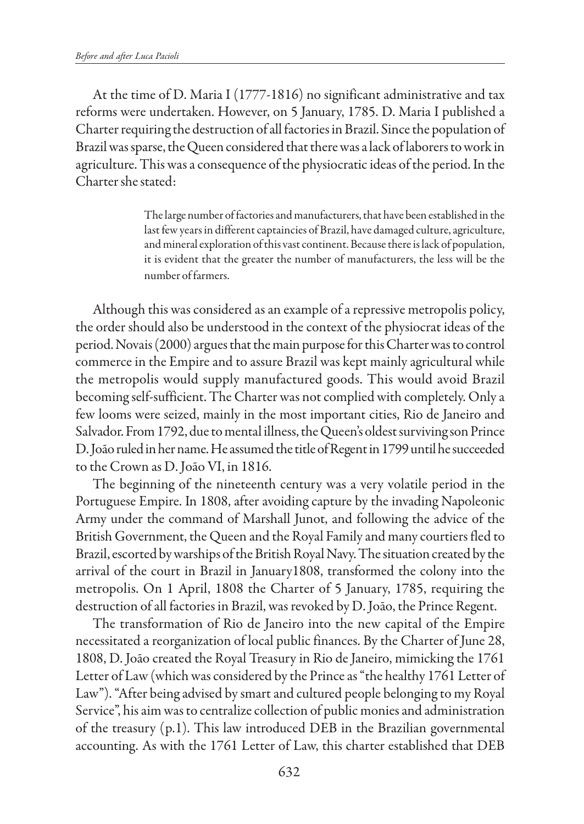At the time of D. Maria I (1777-1816) no significant administrative and tax reforms were undertaken. However, on 5 January, 1785. D. Maria I published a Charter requiring the destruction of all factories in Brazil. Since the population of Brazil was sparse, the Queen considered that there was a lack of laborers to work in agriculture. This was a consequence of the physiocratic ideas of the period. In the Charter she stated:

> The large number of factories and manufacturers, that have been established in the last few years in different captaincies of Brazil, have damaged culture, agriculture, and mineral exploration of this vast continent. Because there is lack of population, it is evident that the greater the number of manufacturers, the less will be the number of farmers.

Although this was considered as an example of a repressive metropolis policy, the order should also be understood in the context of the physiocrat ideas of the period. Novais (2000) argues that the main purpose for this Charter was to control commerce in the Empire and to assure Brazil was kept mainly agricultural while the metropolis would supply manufactured goods. This would avoid Brazil becoming self-sufficient. The Charter was not complied with completely. Only a few looms were seized, mainly in the most important cities, Rio de Janeiro and Salvador. From 1792, due to mental illness, the Queen's oldest surviving son Prince D. João ruled in her name. He assumed the title of Regent in 1799 until he succeeded to the Crown as D. João VI, in 1816.

The beginning of the nineteenth century was a very volatile period in the Portuguese Empire. In 1808, after avoiding capture by the invading Napoleonic Army under the command of Marshall Junot, and following the advice of the British Government, the Queen and the Royal Family and many courtiers fled to Brazil, escorted by warships of the British Royal Navy. The situation created by the arrival of the court in Brazil in January1808, transformed the colony into the metropolis. On 1 April, 1808 the Charter of 5 January, 1785, requiring the destruction of all factories in Brazil, was revoked by D. João, the Prince Regent.

The transformation of Rio de Janeiro into the new capital of the Empire necessitated a reorganization of local public finances. By the Charter of June 28, 1808, D. João created the Royal Treasury in Rio de Janeiro, mimicking the 1761 Letter of Law (which was considered by the Prince as "the healthy 1761 Letter of Law"). "After being advised by smart and cultured people belonging to my Royal Service", his aim was to centralize collection of public monies and administration of the treasury (p.1). This law introduced DEB in the Brazilian governmental accounting. As with the 1761 Letter of Law, this charter established that DEB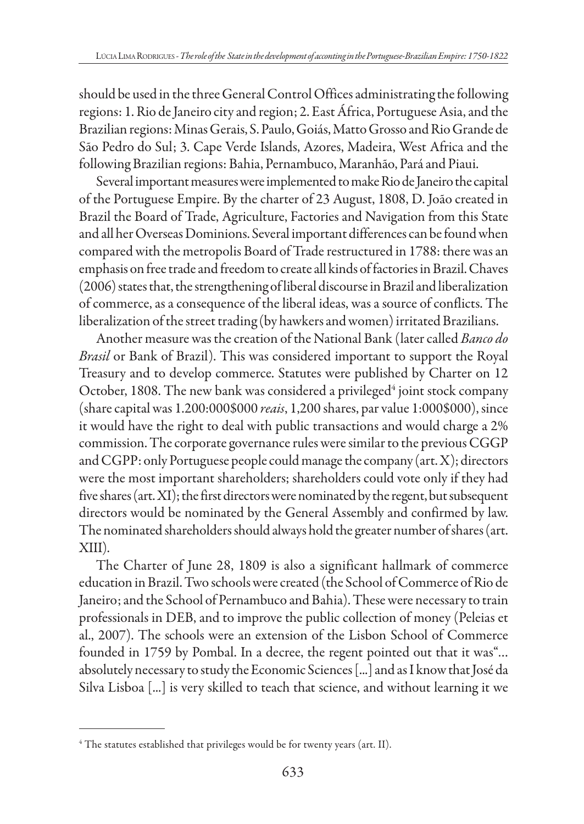should be used in the three General Control Offices administrating the following regions: 1. Rio de Janeiro city and region; 2. East África, Portuguese Asia, and the Brazilian regions: Minas Gerais, S. Paulo, Goiás, Matto Grosso and Rio Grande de São Pedro do Sul; 3. Cape Verde Islands, Azores, Madeira, West Africa and the following Brazilian regions: Bahia, Pernambuco, Maranhão, Pará and Piaui.

Several important measures were implemented to make Rio de Janeiro the capital of the Portuguese Empire. By the charter of 23 August, 1808, D. João created in Brazil the Board of Trade, Agriculture, Factories and Navigation from this State and all her Overseas Dominions. Several important differences can be found when compared with the metropolis Board of Trade restructured in 1788: there was an emphasis on free trade and freedom to create all kinds of factories in Brazil. Chaves (2006) states that, the strengthening of liberal discourse in Brazil and liberalization of commerce, as a consequence of the liberal ideas, was a source of conflicts. The liberalization of the street trading (by hawkers and women) irritated Brazilians.

Another measure was the creation of the National Bank (later called *Banco do Brasil* or Bank of Brazil). This was considered important to support the Royal Treasury and to develop commerce. Statutes were published by Charter on 12 October, 1808. The new bank was considered a privileged<sup>4</sup> joint stock company (share capital was 1.200:000\$000 *reais*, 1,200 shares, par value 1:000\$000), since it would have the right to deal with public transactions and would charge a 2% commission. The corporate governance rules were similar to the previous CGGP and CGPP: only Portuguese people could manage the company (art. X); directors were the most important shareholders; shareholders could vote only if they had five shares (art. XI); the first directors were nominated by the regent, but subsequent directors would be nominated by the General Assembly and confirmed by law. The nominated shareholders should always hold the greater number of shares (art. XIII).

The Charter of June 28, 1809 is also a significant hallmark of commerce education in Brazil. Two schools were created (the School of Commerce of Rio de Janeiro; and the School of Pernambuco and Bahia). These were necessary to train professionals in DEB, and to improve the public collection of money (Peleias et al., 2007). The schools were an extension of the Lisbon School of Commerce founded in 1759 by Pombal. In a decree, the regent pointed out that it was"… absolutely necessary to study the Economic Sciences [...] and as I know that José da Silva Lisboa [...] is very skilled to teach that science, and without learning it we

 $^4$  The statutes established that privileges would be for twenty years (art. II).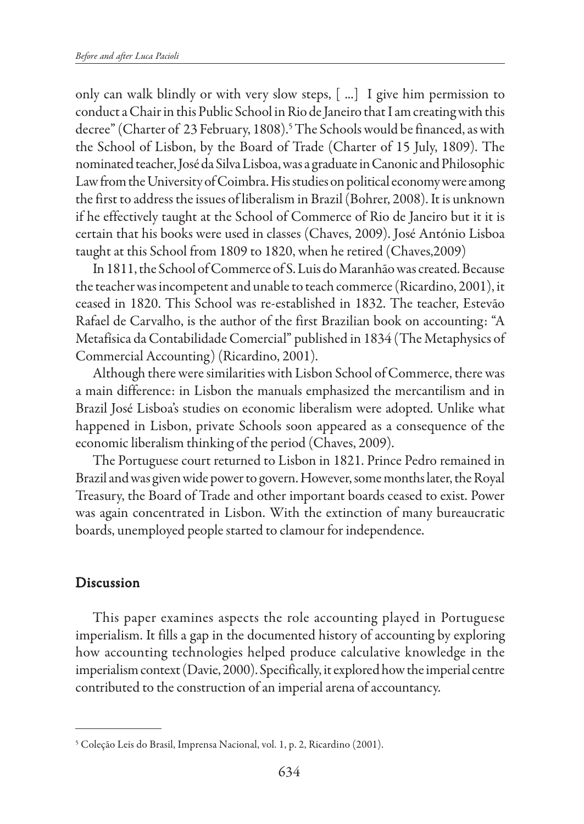only can walk blindly or with very slow steps, [ ...] I give him permission to conduct a Chair in this Public School in Rio de Janeiro that I am creating with this decree" (Charter of 23 February, 1808).5 The Schools would be financed, as with the School of Lisbon, by the Board of Trade (Charter of 15 July, 1809). The nominated teacher, José da Silva Lisboa, was a graduate in Canonic and Philosophic Law from the University of Coimbra. His studies on political economy were among the first to address the issues of liberalism in Brazil (Bohrer, 2008). It is unknown if he effectively taught at the School of Commerce of Rio de Janeiro but it it is certain that his books were used in classes (Chaves, 2009). José António Lisboa taught at this School from 1809 to 1820, when he retired (Chaves,2009)

In 1811, the School of Commerce of S. Luis do Maranhão was created. Because the teacher was incompetent and unable to teach commerce (Ricardino, 2001), it ceased in 1820. This School was re-established in 1832. The teacher, Estevão Rafael de Carvalho, is the author of the first Brazilian book on accounting: "A Metafísica da Contabilidade Comercial" published in 1834 (The Metaphysics of Commercial Accounting) (Ricardino, 2001).

Although there were similarities with Lisbon School of Commerce, there was a main difference: in Lisbon the manuals emphasized the mercantilism and in Brazil José Lisboa's studies on economic liberalism were adopted. Unlike what happened in Lisbon, private Schools soon appeared as a consequence of the economic liberalism thinking of the period (Chaves, 2009).

The Portuguese court returned to Lisbon in 1821. Prince Pedro remained in Brazil and was given wide power to govern. However, some months later, the Royal Treasury, the Board of Trade and other important boards ceased to exist. Power was again concentrated in Lisbon. With the extinction of many bureaucratic boards, unemployed people started to clamour for independence.

### Discussion

This paper examines aspects the role accounting played in Portuguese imperialism. It fills a gap in the documented history of accounting by exploring how accounting technologies helped produce calculative knowledge in the imperialism context (Davie, 2000). Specifically, it explored how the imperial centre contributed to the construction of an imperial arena of accountancy.

<sup>5</sup> Coleção Leis do Brasil, Imprensa Nacional, vol. 1, p. 2, Ricardino (2001).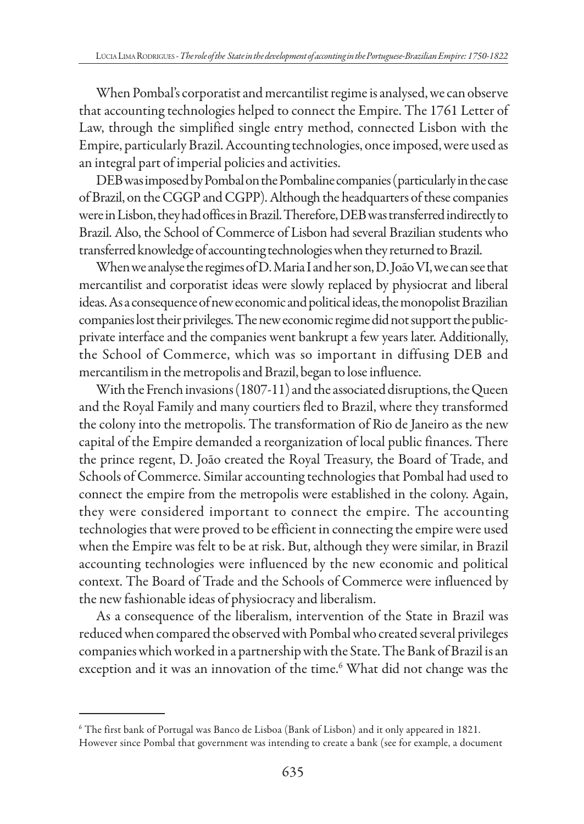When Pombal's corporatist and mercantilist regime is analysed, we can observe that accounting technologies helped to connect the Empire. The 1761 Letter of Law, through the simplified single entry method, connected Lisbon with the Empire, particularly Brazil. Accounting technologies, once imposed, were used as an integral part of imperial policies and activities.

DEB was imposed by Pombal on the Pombaline companies (particularly in the case of Brazil, on the CGGP and CGPP). Although the headquarters of these companies were in Lisbon, they had offices in Brazil. Therefore, DEB was transferred indirectly to Brazil. Also, the School of Commerce of Lisbon had several Brazilian students who transferred knowledge of accounting technologies when they returned to Brazil.

When we analyse the regimes of D. Maria I and her son, D. João VI, we can see that mercantilist and corporatist ideas were slowly replaced by physiocrat and liberal ideas. As a consequence of new economic and political ideas, the monopolist Brazilian companies lost their privileges. The new economic regime did not support the publicprivate interface and the companies went bankrupt a few years later. Additionally, the School of Commerce, which was so important in diffusing DEB and mercantilism in the metropolis and Brazil, began to lose influence.

With the French invasions (1807-11) and the associated disruptions, the Queen and the Royal Family and many courtiers fled to Brazil, where they transformed the colony into the metropolis. The transformation of Rio de Janeiro as the new capital of the Empire demanded a reorganization of local public finances. There the prince regent, D. João created the Royal Treasury, the Board of Trade, and Schools of Commerce. Similar accounting technologies that Pombal had used to connect the empire from the metropolis were established in the colony. Again, they were considered important to connect the empire. The accounting technologies that were proved to be efficient in connecting the empire were used when the Empire was felt to be at risk. But, although they were similar, in Brazil accounting technologies were influenced by the new economic and political context. The Board of Trade and the Schools of Commerce were influenced by the new fashionable ideas of physiocracy and liberalism.

As a consequence of the liberalism, intervention of the State in Brazil was reduced when compared the observed with Pombal who created several privileges companies which worked in a partnership with the State. The Bank of Brazil is an exception and it was an innovation of the time.<sup>6</sup> What did not change was the

<sup>6</sup> The first bank of Portugal was Banco de Lisboa (Bank of Lisbon) and it only appeared in 1821. However since Pombal that government was intending to create a bank (see for example, a document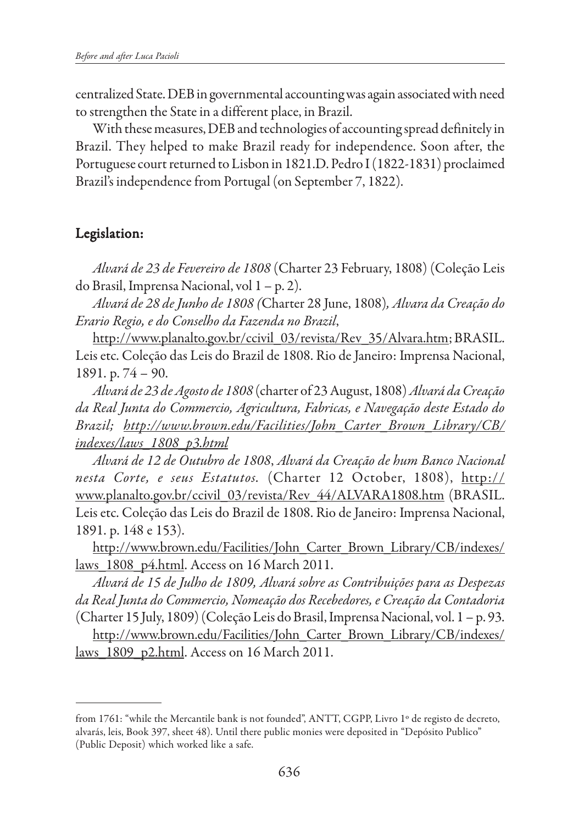centralized State. DEB in governmental accounting was again associated with need to strengthen the State in a different place, in Brazil.

With these measures, DEB and technologies of accounting spread definitely in Brazil. They helped to make Brazil ready for independence. Soon after, the Portuguese court returned to Lisbon in 1821.D. Pedro I (1822-1831) proclaimed Brazil's independence from Portugal (on September 7, 1822).

## Legislation: Legislation:

*Alvará de 23 de Fevereiro de 1808* (Charter 23 February, 1808) (Coleção Leis do Brasil, Imprensa Nacional, vol 1 – p. 2).

*Alvará de 28 de Junho de 1808 (*Charter 28 June, 1808)*, Alvara da Creação do Erario Regio, e do Conselho da Fazenda no Brazil*,

http://www.planalto.gov.br/ccivil\_03/revista/Rev\_35/Alvara.htm; BRASIL. Leis etc. Coleção das Leis do Brazil de 1808. Rio de Janeiro: Imprensa Nacional, 1891. p. 74 – 90.

*Alvará de 23 de Agosto de 1808* (charter of 23 August, 1808) *Alvará da Creação da Real Junta do Commercio, Agricultura, Fabricas, e Navegação deste Estado do Brazil; http://www.brown.edu/Facilities/John\_Carter\_Brown\_Library/CB/ indexes/laws\_1808\_p3.html*

*Alvará de 12 de Outubro de 1808*, *Alvará da Creação de hum Banco Nacional nesta Corte, e seus Estatutos.* (Charter 12 October, 1808), http:// www.planalto.gov.br/ccivil\_03/revista/Rev\_44/ALVARA1808.htm (BRASIL. Leis etc. Coleção das Leis do Brazil de 1808. Rio de Janeiro: Imprensa Nacional, 1891. p. 148 e 153).

http://www.brown.edu/Facilities/John\_Carter\_Brown\_Library/CB/indexes/ laws\_1808\_p4.html. Access on 16 March 2011.

*Alvará de 15 de Julho de 1809, Alvará sobre as Contribuições para as Despezas da Real Junta do Commercio, Nomeação dos Recebedores, e Creação da Contadoria* (Charter 15 July, 1809) (Coleção Leis do Brasil, Imprensa Nacional, vol. 1 – p. 93. http://www.brown.edu/Facilities/John\_Carter\_Brown\_Library/CB/indexes/ laws\_1809\_p2.html. Access on 16 March 2011.

from 1761: "while the Mercantile bank is not founded", ANTT, CGPP, Livro 1º de registo de decreto, alvarás, leis, Book 397, sheet 48). Until there public monies were deposited in "Depósito Publico" (Public Deposit) which worked like a safe.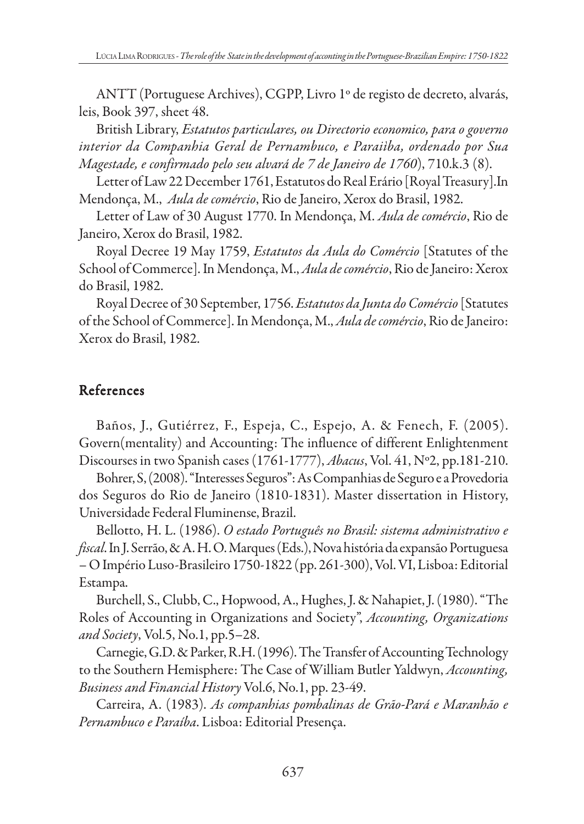ANTT (Portuguese Archives), CGPP, Livro 1º de registo de decreto, alvarás, leis, Book 397, sheet 48.

British Library, *Estatutos particulares, ou Directorio economico, para o governo interior da Companhia Geral de Pernambuco, e Paraiìba, ordenado por Sua Magestade, e confirmado pelo seu alvará de 7 de Janeiro de 1760*), 710.k.3 (8).

Letter of Law 22 December 1761, Estatutos do Real Erário [Royal Treasury].In Mendonça, M., *Aula de comércio*, Rio de Janeiro, Xerox do Brasil, 1982.

Letter of Law of 30 August 1770. In Mendonça, M. *Aula de comércio*, Rio de Janeiro, Xerox do Brasil, 1982.

Royal Decree 19 May 1759, *Estatutos da Aula do Comércio* [Statutes of the School of Commerce]. In Mendonça, M., *Aula de comércio*, Rio de Janeiro: Xerox do Brasil, 1982.

Royal Decree of 30 September, 1756. *Estatutos da Junta do Comércio* [Statutes of the School of Commerce]. In Mendonça, M., *Aula de comércio*, Rio de Janeiro: Xerox do Brasil, 1982.

# References

Baños, J., Gutiérrez, F., Espeja, C., Espejo, A. & Fenech, F. (2005). Govern(mentality) and Accounting: The influence of different Enlightenment Discourses in two Spanish cases (1761-1777), *Abacus*, Vol. 41, Nº2, pp.181-210.

Bohrer, S, (2008). "Interesses Seguros": As Companhias de Seguro e a Provedoria dos Seguros do Rio de Janeiro (1810-1831). Master dissertation in History, Universidade Federal Fluminense, Brazil.

Bellotto, H. L. (1986). *O estado Português no Brasil: sistema administrativo e fiscal*. In J. Serrão, & A. H. O. Marques (Eds.), Nova história da expansão Portuguesa – O Império Luso-Brasileiro 1750-1822 (pp. 261-300), Vol. VI, Lisboa: Editorial Estampa.

Burchell, S., Clubb, C., Hopwood, A., Hughes, J. & Nahapiet, J. (1980). "The Roles of Accounting in Organizations and Society", *Accounting, Organizations and Society*, Vol.5, No.1, pp.5–28.

Carnegie, G.D. & Parker, R.H. (1996). The Transfer of Accounting Technology to the Southern Hemisphere: The Case of William Butler Yaldwyn, *Accounting, Business and Financial History* Vol.6, No.1, pp. 23-49.

Carreira, A. (1983). *As companhias pombalinas de Grão-Pará e Maranhão e Pernambuco e Paraíba*. Lisboa: Editorial Presença.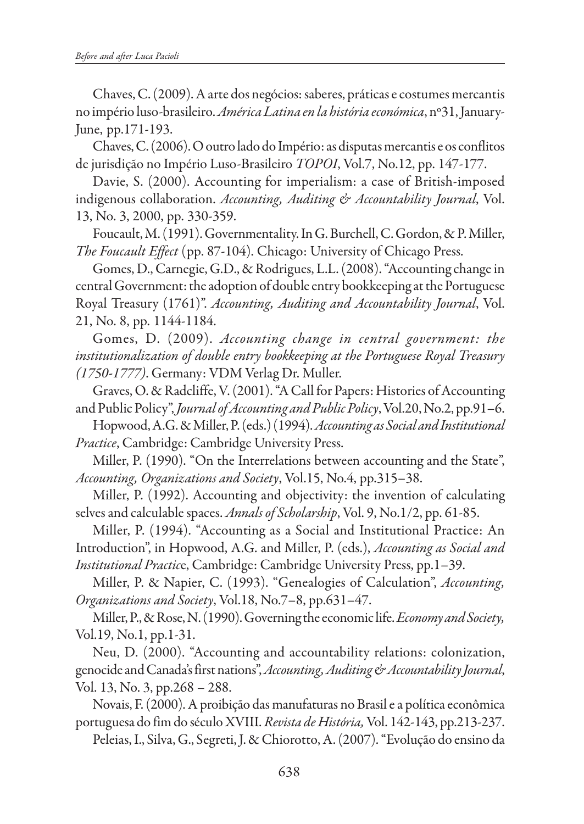Chaves, C. (2009). A arte dos negócios: saberes, práticas e costumes mercantis no império luso-brasileiro. *América Latina en la história económica*, nº31, January-June, pp.171-193.

Chaves, C. (2006). O outro lado do Império: as disputas mercantis e os conflitos de jurisdição no Império Luso-Brasileiro *TOPOI*, Vol.7, No.12, pp. 147-177.

Davie, S. (2000). Accounting for imperialism: a case of British-imposed indigenous collaboration. *Accounting, Auditing & Accountability Journal*, Vol. 13, No. 3, 2000, pp. 330-359.

Foucault, M. (1991). Governmentality. In G. Burchell, C. Gordon, & P. Miller, *The Foucault Effect* (pp. 87-104). Chicago: University of Chicago Press.

Gomes, D., Carnegie, G.D., & Rodrigues, L.L. (2008). "Accounting change in central Government: the adoption of double entry bookkeeping at the Portuguese Royal Treasury (1761)". *Accounting, Auditing and Accountability Journal*, Vol. 21, No. 8, pp. 1144-1184.

Gomes, D. (2009). *Accounting change in central government: the institutionalization of double entry bookkeeping at the Portuguese Royal Treasury (1750-1777)*. Germany: VDM Verlag Dr. Muller.

Graves, O. & Radcliffe, V. (2001). "A Call for Papers: Histories of Accounting and Public Policy", *Journal of Accounting and Public Policy*, Vol.20, No.2, pp.91–6.

Hopwood, A.G. & Miller, P. (eds.) (1994). *Accounting as Social and Institutional Practice*, Cambridge: Cambridge University Press.

Miller, P. (1990). "On the Interrelations between accounting and the State", *Accounting, Organizations and Society*, Vol.15, No.4, pp.315–38.

Miller, P. (1992). Accounting and objectivity: the invention of calculating selves and calculable spaces. *Annals of Scholarship*, Vol. 9, No.1/2, pp. 61-85.

Miller, P. (1994). "Accounting as a Social and Institutional Practice: An Introduction", in Hopwood, A.G. and Miller, P. (eds.), *Accounting as Social and Institutional Practic*e, Cambridge: Cambridge University Press, pp.1–39.

Miller, P. & Napier, C. (1993). "Genealogies of Calculation", *Accounting, Organizations and Society*, Vol.18, No.7–8, pp.631–47.

Miller, P., & Rose, N. (1990). Governing the economic life. *Economy and Society,* Vol.19, No.1, pp.1-31.

Neu, D. (2000). "Accounting and accountability relations: colonization, genocide and Canada's first nations", *Accounting, Auditing & Accountability Journal*, Vol. 13, No. 3, pp.268 – 288.

Novais, F. (2000). A proibição das manufaturas no Brasil e a política econômica portuguesa do fim do século XVIII. *Revista de História,* Vol. 142-143, pp.213-237. Peleias, I., Silva, G., Segreti, J. & Chiorotto, A. (2007). "Evolução do ensino da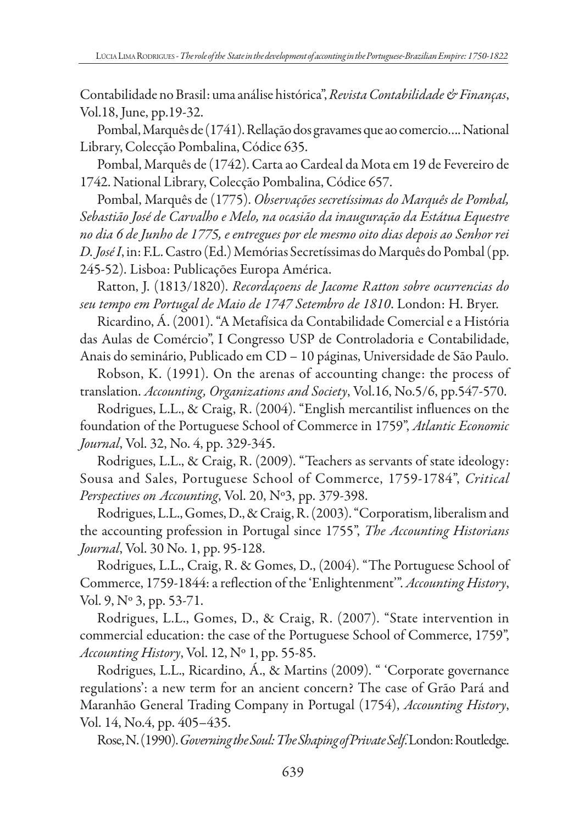Contabilidade no Brasil: uma análise histórica", *Revista Contabilidade & Finanças*, Vol.18, June, pp.19-32.

Pombal, Marquês de (1741). Rellação dos gravames que ao comercio…. National Library, Colecção Pombalina, Códice 635.

Pombal, Marquês de (1742). Carta ao Cardeal da Mota em 19 de Fevereiro de 1742. National Library, Colecção Pombalina, Códice 657.

Pombal, Marquês de (1775). *Observações secretíssimas do Marquês de Pombal, Sebastião José de Carvalho e Melo, na ocasião da inauguração da Estátua Equestre no dia 6 de Junho de 1775, e entregues por ele mesmo oito dias depois ao Senhor rei D. José I*, in: F.L. Castro (Ed.) Memórias Secretíssimas do Marquês do Pombal (pp. 245-52). Lisboa: Publicações Europa América.

Ratton, J. (1813/1820). *Recordaçoens de Jacome Ratton sobre ocurrencias do seu tempo em Portugal de Maio de 1747 Setembro de 1810*. London: H. Bryer.

Ricardino, Á. (2001). "A Metafísica da Contabilidade Comercial e a História das Aulas de Comércio", I Congresso USP de Controladoria e Contabilidade, Anais do seminário, Publicado em CD – 10 páginas, Universidade de São Paulo.

Robson, K. (1991). On the arenas of accounting change: the process of translation. *Accounting, Organizations and Society*, Vol.16, No.5/6, pp.547-570.

Rodrigues, L.L., & Craig, R. (2004). "English mercantilist influences on the foundation of the Portuguese School of Commerce in 1759", *Atlantic Economic Journal*, Vol. 32, No. 4, pp. 329-345.

Rodrigues, L.L., & Craig, R. (2009). "Teachers as servants of state ideology: Sousa and Sales, Portuguese School of Commerce, 1759-1784", *Critical Perspectives on Accounting*, Vol. 20, Nº3, pp. 379-398.

Rodrigues, L.L., Gomes, D., & Craig, R. (2003). "Corporatism, liberalism and the accounting profession in Portugal since 1755", *The Accounting Historians Journal*, Vol. 30 No. 1, pp. 95-128.

Rodrigues, L.L., Craig, R. & Gomes, D., (2004). "The Portuguese School of Commerce, 1759-1844: a reflection of the 'Enlightenment'". *Accounting History*, Vol. 9, Nº 3, pp. 53-71.

Rodrigues, L.L., Gomes, D., & Craig, R. (2007). "State intervention in commercial education: the case of the Portuguese School of Commerce, 1759", *Accounting History*, Vol. 12, Nº 1, pp. 55-85.

Rodrigues, L.L., Ricardino, Á., & Martins (2009). " 'Corporate governance regulations': a new term for an ancient concern? The case of Grão Pará and Maranhão General Trading Company in Portugal (1754), *Accounting History*, Vol. 14, No.4, pp. 405–435.

Rose, N. (1990). *Governing the Soul: The Shaping of Private Self*. London: Routledge.